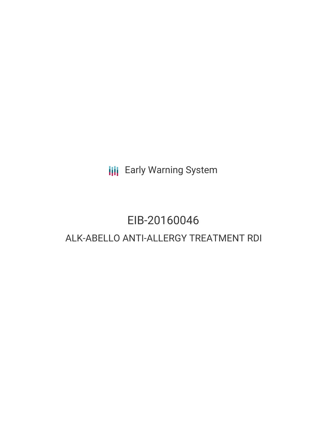**III** Early Warning System

# EIB-20160046 ALK-ABELLO ANTI-ALLERGY TREATMENT RDI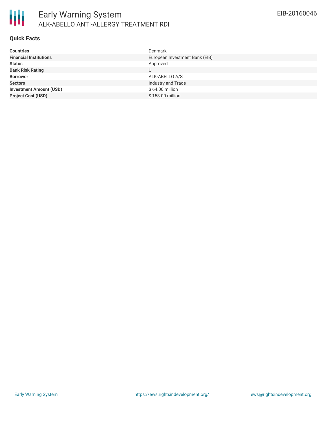

#### **Quick Facts**

| <b>Countries</b>               | Denmark                        |
|--------------------------------|--------------------------------|
| <b>Financial Institutions</b>  | European Investment Bank (EIB) |
| <b>Status</b>                  | Approved                       |
| <b>Bank Risk Rating</b>        | U                              |
| <b>Borrower</b>                | ALK-ABELLO A/S                 |
| <b>Sectors</b>                 | Industry and Trade             |
| <b>Investment Amount (USD)</b> | $$64.00$ million               |
| <b>Project Cost (USD)</b>      | \$158.00 million               |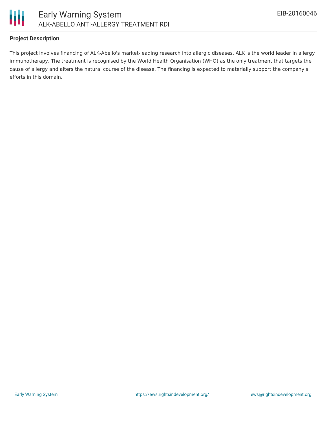

## **Project Description**

This project involves financing of ALK-Abello's market-leading research into allergic diseases. ALK is the world leader in allergy immunotherapy. The treatment is recognised by the World Health Organisation (WHO) as the only treatment that targets the cause of allergy and alters the natural course of the disease. The financing is expected to materially support the company's efforts in this domain.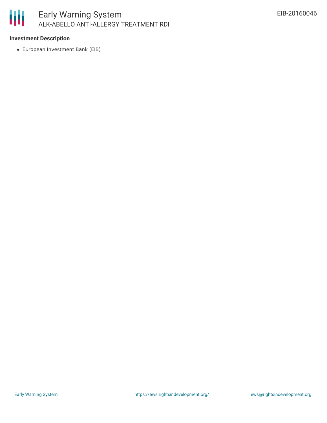

## **Investment Description**

European Investment Bank (EIB)